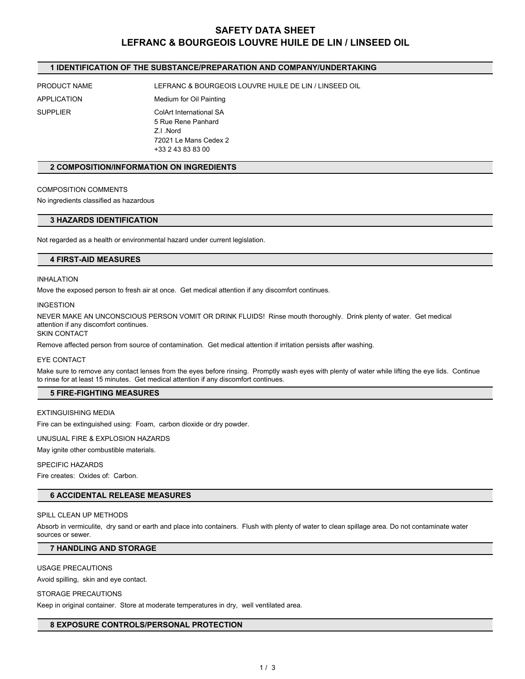# **SAFETY DATA SHEET LEFRANC & BOURGEOIS LOUVRE HUILE DE LIN / LINSEED OIL**

# **1 IDENTIFICATION OF THE SUBSTANCE/PREPARATION AND COMPANY/UNDERTAKING**

PRODUCT NAME LEFRANC & BOURGEOIS LOUVRE HUILE DE LIN / LINSEED OIL

APPLICATION Medium for Oil Painting SUPPLIER ColArt International SA 5 Rue Rene Panhard **Z.I.** Nord 72021 Le Mans Cedex 2 +33 2 43 83 83 00

## **2 COMPOSITION/INFORMATION ON INGREDIENTS**

#### COMPOSITION COMMENTS

No ingredients classified as hazardous

## **3 HAZARDS IDENTIFICATION**

Not regarded as a health or environmental hazard under current legislation.

# **4 FIRST-AID MEASURES**

## INHALATION

Move the exposed person to fresh air at once. Get medical attention if any discomfort continues.

#### INGESTION

NEVER MAKE AN UNCONSCIOUS PERSON VOMIT OR DRINK FLUIDS! Rinse mouth thoroughly. Drink plenty of water. Get medical attention if any discomfort continues.

SKIN CONTACT

Remove affected person from source of contamination. Get medical attention if irritation persists after washing.

#### EYE CONTACT

Make sure to remove any contact lenses from the eyes before rinsing. Promptly wash eyes with plenty of water while lifting the eye lids. Continue to rinse for at least 15 minutes. Get medical attention if any discomfort continues.

# **5 FIRE-FIGHTING MEASURES**

#### EXTINGUISHING MEDIA

Fire can be extinguished using: Foam, carbon dioxide or dry powder.

UNUSUAL FIRE & EXPLOSION HAZARDS

May ignite other combustible materials.

#### SPECIFIC HAZARDS

Fire creates: Oxides of: Carbon.

#### **6 ACCIDENTAL RELEASE MEASURES**

#### SPILL CLEAN UP METHODS

Absorb in vermiculite, dry sand or earth and place into containers. Flush with plenty of water to clean spillage area. Do not contaminate water<br>sources or sewer.

# **7 HANDLING AND STORAGE**

#### USAGE PRECAUTIONS

Avoid spilling, skin and eye contact.

### STORAGE PRECAUTIONS

Keep in original container. Store at moderate temperatures in dry, well ventilated area.

## **8 EXPOSURE CONTROLS/PERSONAL PROTECTION**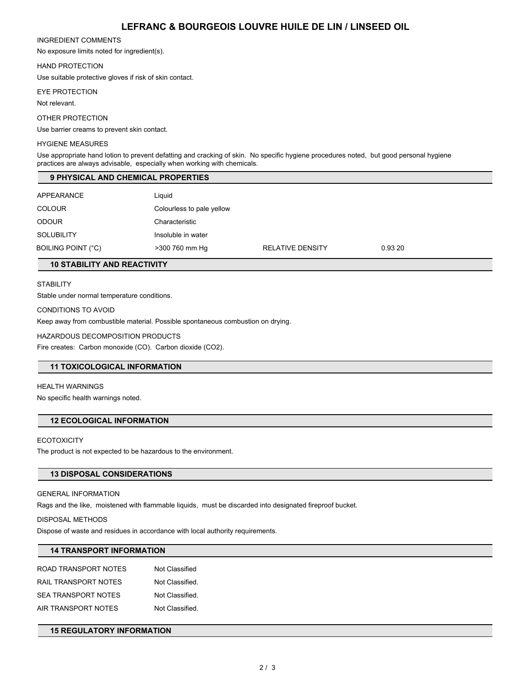# **LEFRANC & BOURGEOIS LOUVRE HUILE DE LIN / LINSEED OIL**

### INGREDIENT COMMENTS

No exposure limits noted for ingredient(s).

# HAND PROTECTION

Use suitable protective gloves if risk of skin contact.

### EYE PROTECTION

Not relevant.

### OTHER PROTECTION

Use barrier creams to prevent skin contact.

### HYGIENE MEASURES

Use appropriate hand lotion to prevent defatting and cracking of skin. No specific hygiene procedures noted, but good personal hygiene practices are always advisable, especially when working with chemicals.

# **9 PHYSICAL AND CHEMICAL PROPERTIES**

| APPEARANCE         | Liguid                    |                         |         |
|--------------------|---------------------------|-------------------------|---------|
| <b>COLOUR</b>      | Colourless to pale yellow |                         |         |
| <b>ODOUR</b>       | Characteristic            |                         |         |
| <b>SOLUBILITY</b>  | Insoluble in water        |                         |         |
| BOILING POINT (°C) | >300 760 mm Hg            | <b>RELATIVE DENSITY</b> | 0.93 20 |

# **10 STABILITY AND REACTIVITY**

# **STABILITY**

Stable under normal temperature conditions.

# CONDITIONS TO AVOID

Keep away from combustible material. Possible spontaneous combustion on drying.

## HAZARDOUS DECOMPOSITION PRODUCTS

Fire creates: Carbon monoxide (CO). Carbon dioxide (CO2).

# **11 TOXICOLOGICAL INFORMATION**

## HEALTH WARNINGS

No specific health warnings noted.

# **12 ECOLOGICAL INFORMATION**

## **ECOTOXICITY**

The product is not expected to be hazardous to the environment.

# **13 DISPOSAL CONSIDERATIONS**

# GENERAL INFORMATION

Rags and the like, moistened with flammable liquids, must be discarded into designated fireproof bucket.

## DISPOSAL METHODS

Dispose of waste and residues in accordance with local authority requirements.

# **14 TRANSPORT INFORMATION**

| ROAD TRANSPORT NOTES       | Not Classified  |
|----------------------------|-----------------|
| RAIL TRANSPORT NOTES       | Not Classified. |
| <b>SEA TRANSPORT NOTES</b> | Not Classified. |
| AIR TRANSPORT NOTES        | Not Classified. |

# **15 REGULATORY INFORMATION**